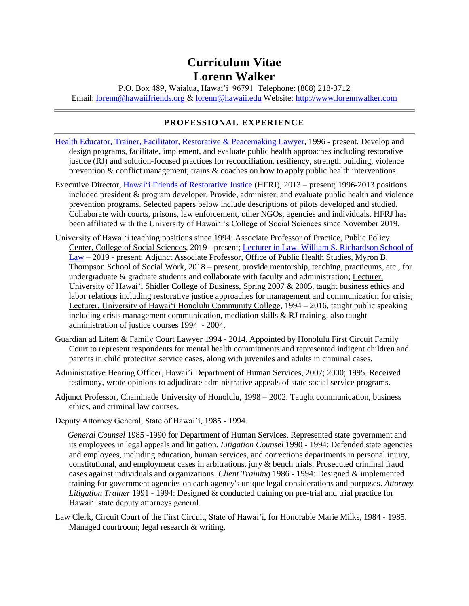# **Curriculum Vitae Lorenn Walker**

P.O. Box 489, Waialua, Hawai'i 96791 Telephone: (808) 218-3712 Email: [lorenn@hawaiifriends.org](mailto:lorenn@hawaiifriends.org) & [lorenn@hawaii.edu](mailto:lorenn@hawaii.edu) Website: [http://www.lorennwalker.com](http://www.lorennwalker.com/)

# **PROFESSIONAL EXPERIENCE**

- [Health Educator, Trainer, Facilitator, Restorative & Peacemaking Lawyer,](http://lorennwalker.com/) 1996 present. Develop and design programs, facilitate, implement, and evaluate public health approaches including restorative justice (RJ) and solution-focused practices for reconciliation, resiliency, strength building, violence prevention & conflict management; trains & coaches on how to apply public health interventions.
- Executive Director, [Hawai'i Friends of Restorative Justice](http://hawaiifriends.org/) (HFRJ), 2013 present; 1996-2013 positions included president & program developer. Provide, administer, and evaluate public health and violence prevention programs. Selected papers below include descriptions of pilots developed and studied. Collaborate with courts, prisons, law enforcement, other NGOs, agencies and individuals. HFRJ has been affiliated with the University of Hawai'i's College of Social Sciences since November 2019.
- University of Hawai'i teaching positions since 1994: Associate Professor of Practice, Public Policy Center, College of Social Sciences, 2019 - present[; Lecturer in Law, William S. Richardson School of](https://www.law.hawaii.edu/person/lorenn-walker)  [Law](https://www.law.hawaii.edu/person/lorenn-walker) – 2019 - present; Adjunct Associate Professor, Office of Public Health Studies, Myron B. Thompson School of Social Work, 2018 – present, provide mentorship, teaching, practicums, etc., for undergraduate & graduate students and collaborate with faculty and administration; Lecturer, University of Hawai'i Shidler College of Business, Spring 2007 & 2005, taught business ethics and labor relations including restorative justice approaches for management and communication for crisis; Lecturer, University of Hawai'i Honolulu Community College, 1994 – 2016, taught public speaking including crisis management communication, mediation skills & RJ training, also taught administration of justice courses 1994 - 2004.
- Guardian ad Litem & Family Court Lawyer 1994 2014. Appointed by Honolulu First Circuit Family Court to represent respondents for mental health commitments and represented indigent children and parents in child protective service cases, along with juveniles and adults in criminal cases.
- Administrative Hearing Officer, Hawai'i Department of Human Services, 2007; 2000; 1995. Received testimony, wrote opinions to adjudicate administrative appeals of state social service programs.
- Adjunct Professor, Chaminade University of Honolulu, 1998 2002. Taught communication, business ethics, and criminal law courses.

Deputy Attorney General, State of Hawai'i, 1985 - 1994.

 *General Counsel* 1985 -1990 for Department of Human Services. Represented state government and its employees in legal appeals and litigation. *Litigation Counsel* 1990 - 1994: Defended state agencies and employees, including education, human services, and corrections departments in personal injury, constitutional, and employment cases in arbitrations, jury & bench trials. Prosecuted criminal fraud cases against individuals and organizations. *Client Training* 1986 - 1994: Designed & implemented training for government agencies on each agency's unique legal considerations and purposes. *Attorney Litigation Trainer* 1991 - 1994: Designed & conducted training on pre-trial and trial practice for Hawai'i state deputy attorneys general.

Law Clerk, Circuit Court of the First Circuit, State of Hawai'i, for Honorable Marie Milks, 1984 - 1985. Managed courtroom; legal research & writing.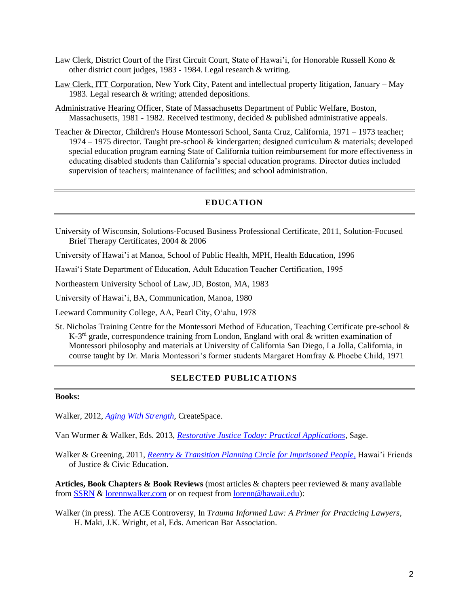- Law Clerk, District Court of the First Circuit Court, State of Hawai'i, for Honorable Russell Kono & other district court judges, 1983 - 1984. Legal research & writing.
- Law Clerk, ITT Corporation, New York City, Patent and intellectual property litigation, January May 1983. Legal research & writing; attended depositions.
- Administrative Hearing Officer, State of Massachusetts Department of Public Welfare, Boston, Massachusetts, 1981 - 1982. Received testimony, decided & published administrative appeals.
- Teacher & Director, Children's House Montessori School, Santa Cruz, California, 1971 1973 teacher; 1974 – 1975 director. Taught pre-school & kindergarten; designed curriculum & materials; developed special education program earning State of California tuition reimbursement for more effectiveness in educating disabled students than California's special education programs. Director duties included supervision of teachers; maintenance of facilities; and school administration.

#### **EDUCATION**

University of Wisconsin, Solutions-Focused Business Professional Certificate, 2011, Solution-Focused Brief Therapy Certificates, 2004 & 2006

University of Hawai'i at Manoa, School of Public Health, MPH, Health Education, 1996

Hawai'i State Department of Education, Adult Education Teacher Certification, 1995

Northeastern University School of Law, JD, Boston, MA, 1983

University of Hawai'i, BA, Communication, Manoa, 1980

Leeward Community College, AA, Pearl City, O'ahu, 1978

St. Nicholas Training Centre for the Montessori Method of Education, Teaching Certificate pre-school & K-3<sup>rd</sup> grade, correspondence training from London, England with oral & written examination of Montessori philosophy and materials at University of California San Diego, La Jolla, California, in course taught by Dr. Maria Montessori's former students Margaret Homfray & Phoebe Child, 1971

#### **SELECTED PUBLICATIONS**

#### **Books:**

Walker, 2012, *[Aging With Strength,](http://www.amazon.com/Aging-With-Strength-Lorenn-Walker/dp/148114992X/ref=sr_1_1?ie=UTF8&qid=1360901800&sr=8-1&keywords=aging+with+strength)* CreateSpace.

Van Wormer & Walker, Eds. 2013, *[Restorative Justice Today: Practical Applications,](https://www.amazon.com/Restorative-Justice-Today-Practical-Applications/dp/1452219915/ref=sr_1_2?dchild=1&keywords=restorative+justice+today&qid=1609011756&sr=8-2)* Sage.

Walker & Greening, 2011, *[Reentry & Transition Planning Circle for Imprisoned People](http://www.amazon.com/Reentry-Transition-Planning-Circles-Incarcerated/dp/0615529429/ref=sr_1_2?ie=UTF8&qid=1318274616&sr=8-2)*, Hawai'i Friends of Justice & Civic Education.

**Articles, Book Chapters & Book Reviews** (most articles & chapters peer reviewed & many available from [SSRN](https://www.ssrn.com/index.cfm/en/) & [lorennwalker.com](http://lorennwalker.com/publications/) or on request fro[m lorenn@hawaii.edu\)](mailto:lorenn@hawaii.edu):

Walker (in press). The ACE Controversy, In *Trauma Informed Law: A Primer for Practicing Lawyers*, H. Maki, J.K. Wright, et al, Eds. American Bar Association.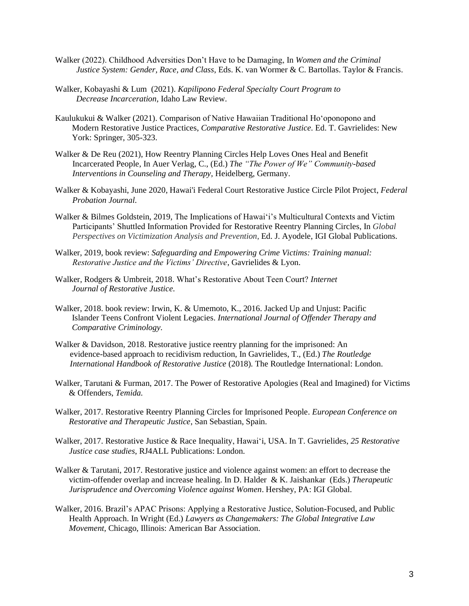- Walker (2022). Childhood Adversities Don't Have to be Damaging, In *Women and the Criminal Justice System: Gender, Race, and Class*, Eds. K. van Wormer & C. Bartollas. Taylor & Francis.
- Walker, Kobayashi & Lum (2021). *Kapilipono Federal Specialty Court Program to Decrease Incarceration,* Idaho Law Review.
- Kaulukukui & Walker (2021). Comparison of Native Hawaiian Traditional Ho'oponopono and Modern Restorative Justice Practices, *Comparative Restorative Justice.* Ed. T. Gavrielides: New York: Springer, 305-323.
- Walker & De Reu (2021), How Reentry Planning Circles Help Loves Ones Heal and Benefit Incarcerated People, In Auer Verlag, C., (Ed.) *The "The Power of We" Community-based Interventions in Counseling and Therapy,* Heidelberg, Germany.
- Walker & Kobayashi, June 2020, Hawai'i Federal Court Restorative Justice Circle Pilot Project, *Federal Probation Journal*.
- Walker & Bilmes Goldstein, 2019, The Implications of Hawai'i's Multicultural Contexts and Victim Participants' Shuttled Information Provided for Restorative Reentry Planning Circles, In *Global Perspectives on Victimization Analysis and Prevention*, Ed. J. Ayodele, IGI Global Publications.
- Walker, 2019, book review: *Safeguarding and Empowering Crime Victims: Training manual: Restorative Justice and the Victims' Directive*, Gavrielides & Lyon.
- Walker, Rodgers & Umbreit, 2018. What's Restorative About Teen Court? *Internet Journal of Restorative Justice.*
- Walker, 2018. book review: Irwin, K. & Umemoto, K., 2016. Jacked Up and Unjust: Pacific Islander Teens Confront Violent Legacies. *International Journal of Offender Therapy and Comparative Criminology.*
- Walker & Davidson, 2018. Restorative justice reentry planning for the imprisoned: An evidence-based approach to recidivism reduction, In Gavrielides, T., (Ed.) *The Routledge International Handbook of Restorative Justice* (2018). The Routledge International: London.
- Walker, Tarutani & Furman, 2017. The Power of Restorative Apologies (Real and Imagined) for Victims & Offenders, *Temida.*
- Walker, 2017. Restorative Reentry Planning Circles for Imprisoned People. *European Conference on Restorative and Therapeutic Justice*, San Sebastian, Spain.
- Walker, 2017. Restorative Justice & Race Inequality, Hawai'i, USA. In T. Gavrielides, *25 Restorative Justice case studies*, RJ4ALL Publications: London.
- Walker & Tarutani, 2017. Restorative justice and violence against women: an effort to decrease the victim-offender overlap and increase healing. In D. Halder & K. Jaishankar (Eds.) *Therapeutic Jurisprudence and Overcoming Violence against Women*. Hershey, PA: IGI Global.
- Walker, 2016. Brazil's APAC Prisons: Applying a Restorative Justice, Solution-Focused, and Public Health Approach. In Wright (Ed.) *Lawyers as Changemakers: The Global Integrative Law Movement,* Chicago, Illinois: American Bar Association.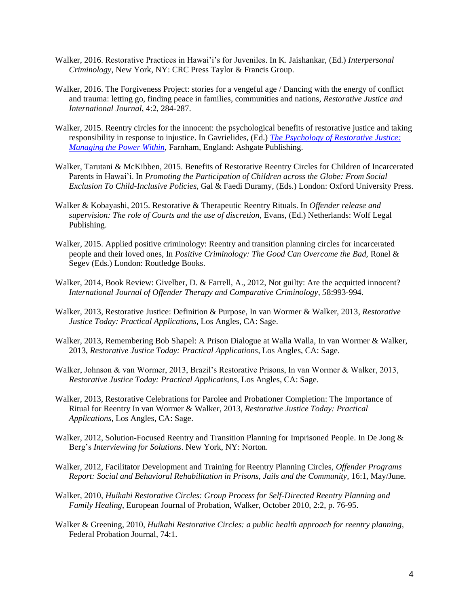- Walker, 2016. Restorative Practices in Hawai'i's for Juveniles. In K. Jaishankar, (Ed.) *Interpersonal Criminology*, New York, NY: CRC Press Taylor & Francis Group.
- Walker, 2016. [The Forgiveness Project: stories for a vengeful age / Dancing with the energy of conflict](http://www.tandfonline.com/doi/abs/10.1080/20504721.2016.1197545)  [and trauma: letting go, finding peace in families, communities and nations,](http://www.tandfonline.com/doi/abs/10.1080/20504721.2016.1197545) *Restorative Justice and International Journal*, 4:2, 284-287.
- Walker, 2015. Reentry circles for the innocent: the psychological benefits of restorative justice and taking responsibility in response to injustice. In Gavrielides, (Ed.) *The Psychology of Restorative Justice: Managing the Power Within*, Farnham, England: Ashgate Publishing.
- Walker, Tarutani & McKibben, 2015. Benefits of Restorative Reentry Circles for Children of Incarcerated Parents in Hawai'i. In *Promoting the Participation of Children across the Globe: From Social Exclusion To Child-Inclusive Policies,* Gal & Faedi Duramy, (Eds.) London: Oxford University Press.
- Walker & Kobayashi, 2015. Restorative & Therapeutic Reentry Rituals. In *Offender release and supervision: The role of Courts and the use of discretion,* Evans, (Ed.) Netherlands: Wolf Legal Publishing.
- Walker, 2015. Applied positive criminology: Reentry and transition planning circles for incarcerated people and their loved ones, In *Positive Criminology: The Good Can Overcome the Bad,* Ronel & Segev (Eds.) London: Routledge Books.
- Walker, 2014, Book Review: Givelber, D. & Farrell, A., 2012, Not guilty: Are the acquitted innocent? *International Journal of Offender Therapy and Comparative Criminology, 5*8:993-994.
- Walker, 2013, Restorative Justice: Definition & Purpose, In van Wormer & Walker, 2013, *Restorative Justice Today: Practical Applications,* Los Angles, CA: Sage.
- Walker, 2013, Remembering Bob Shapel: A Prison Dialogue at Walla Walla, In van Wormer & Walker, 2013, *Restorative Justice Today: Practical Applications,* Los Angles, CA: Sage.
- Walker, Johnson & van Wormer, 2013, Brazil's Restorative Prisons, In van Wormer & Walker, 2013, *Restorative Justice Today: Practical Applications,* Los Angles, CA: Sage.
- Walker, 2013, Restorative Celebrations for Parolee and Probationer Completion: The Importance of Ritual for Reentry In van Wormer & Walker, 2013, *Restorative Justice Today: Practical Applications,* Los Angles, CA: Sage.
- Walker, 2012, Solution-Focused Reentry and Transition Planning for Imprisoned People. In De Jong & Berg's *Interviewing for Solutions*. New York, NY: Norton.
- Walker, 2012, Facilitator Development and Training for Reentry Planning Circles, *Offender Programs Report: Social and Behavioral Rehabilitation in Prisons, Jails and the Community,* 16:1, May/June.
- Walker, 2010, *Huikahi Restorative Circles: Group Process for Self-Directed Reentry Planning and Family Healing*, European Journal of Probation, Walker, October 2010, 2:2, p. 76-95.
- Walker & Greening, 2010, *Huikahi Restorative Circles: a public health approach for reentry planning*, Federal Probation Journal, 74:1.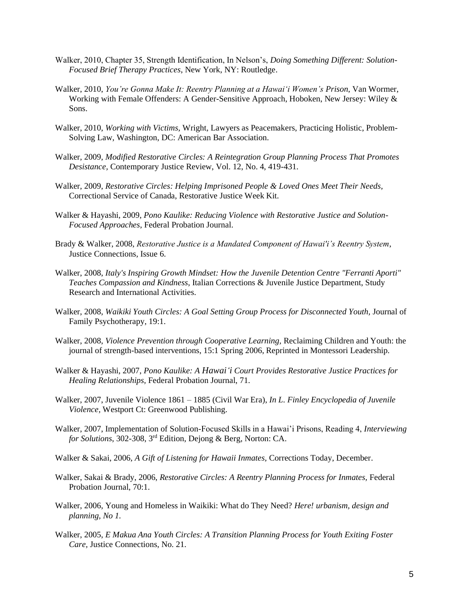- Walker, 2010, Chapter 35, Strength Identification, In Nelson's, *Doing Something Different: Solution-Focused Brief Therapy Practices*, New York, NY: Routledge.
- Walker, 2010, *You're Gonna Make It: Reentry Planning at a Hawai'i Women's Prison*, Van Wormer, Working with Female Offenders: A Gender-Sensitive Approach, Hoboken, New Jersey: Wiley & Sons.
- Walker, 2010, *Working with Victims,* Wright, Lawyers as Peacemakers, Practicing Holistic, Problem-Solving Law, Washington, DC: American Bar Association.
- Walker, 2009, *Modified Restorative Circles: A Reintegration Group Planning Process That Promotes Desistance,* Contemporary Justice Review, Vol. 12, No. 4, 419-431.
- Walker, 2009, *Restorative Circles: Helping Imprisoned People & Loved Ones Meet Their Needs,* Correctional Service of Canada, Restorative Justice Week Kit.
- Walker & Hayashi, 2009, *Pono Kaulike: Reducing Violence with Restorative Justice and Solution-Focused Approaches*, Federal Probation Journal.
- Brady & Walker, 2008, *Restorative Justice is a Mandated Component of Hawai'i's Reentry System*, Justice Connections*,* Issue 6.
- Walker, 2008, *Italy's Inspiring Growth Mindset: How the Juvenile Detention Centre "Ferranti Aporti" Teaches Compassion and Kindness*, Italian Corrections & Juvenile Justice Department, Study Research and International Activities.
- Walker, 2008, *Waikiki Youth Circles: A Goal Setting Group Process for Disconnected Youth,* Journal of Family Psychotherapy, 19:1.
- Walker, 2008, *Violence Prevention through Cooperative Learning,* Reclaiming Children and Youth: the journal of strength-based interventions, 15:1 Spring 2006, Reprinted in Montessori Leadership.
- Walker & Hayashi, 2007, *Pono Kaulike: A Hawai'i Court Provides Restorative Justice Practices for Healing Relationships,* Federal Probation Journal, 71.
- Walker, 2007, Juvenile Violence 1861 1885 (Civil War Era), *In L. Finley Encyclopedia of Juvenile Violence,* Westport Ct: Greenwood Publishing.
- Walker, 2007, Implementation of Solution-Focused Skills in a Hawai'i Prisons, Reading 4, *Interviewing for Solutions*, 302-308, 3rd Edition, Dejong & Berg, Norton: CA.
- Walker & Sakai, 2006, *A Gift of Listening for Hawaii Inmates,* Corrections Today, December.
- Walker, Sakai & Brady, 2006, *Restorative Circles: A Reentry Planning Process for Inmates,* Federal Probation Journal, 70:1.
- Walker, 2006, Young and Homeless in Waikiki: What do They Need? *Here! urbanism, design and planning, No 1.*
- Walker, 2005, *E Makua Ana Youth Circles: A Transition Planning Process for Youth Exiting Foster Care,* Justice Connections, No. 21.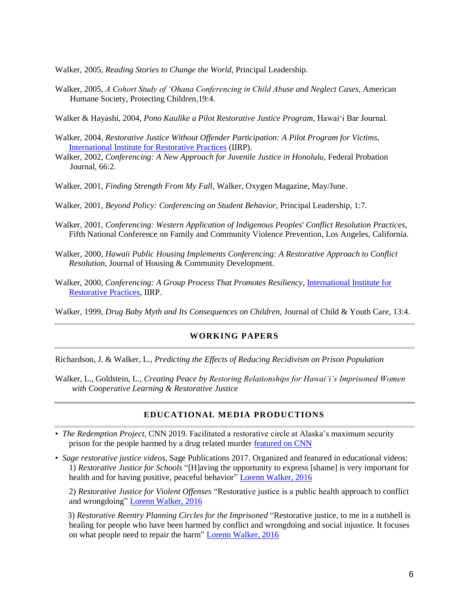Walker, 2005, *Reading Stories to Change the World,* Principal Leadership.

Walker, 2005, *A Cohort Study of 'Ohana Conferencing in Child Abuse and Neglect Cases,* American Humane Society, Protecting Children,19:4.

Walker & Hayashi, 2004, *Pono Kaulike a Pilot Restorative Justice Program,* Hawai'i Bar Journal.

- Walker, 2004*, Restorative Justice Without Offender Participation: A Pilot Program for Victims,*  [International Institute for Restorative Practices](http://www.iirp.org/library/lwalker04.html) (IIRP).
- Walker, 2002, *Conferencing: A New Approach for Juvenile Justice in Honolulu,* Federal Probation Journal, 66:2.
- Walker, 2001, *Finding Strength From My Fall,* Walker, Oxygen Magazine, May/June.
- Walker, 2001, *Beyond Policy: Conferencing on Student Behavior,* Principal Leadership, 1:7.
- Walker, 2001, *Conferencing: Western Application of Indigenous Peoples' Conflict Resolution Practices,* Fifth National Conference on Family and Community Violence Prevention, Los Angeles, California.
- Walker, 2000, *Hawaii Public Housing Implements Conferencing: A Restorative Approach to Conflict Resolution*, Journal of Housing & Community Development.
- Walker, 2000, *Conferencing: A Group Process That Promotes Resiliency*[, International Institute for](https://www.iirp.edu/news/conferencing-a-group-process-that-promotes-resiliency)  [Restorative Practices,](https://www.iirp.edu/news/conferencing-a-group-process-that-promotes-resiliency) IIRP.

Walker, 1999, *Drug Baby Myth and Its Consequences on Children,* Journal of Child & Youth Care, 13:4.

#### **WORKING PAPERS**

Richardson, J. & Walker, L., *Predicting the Effects of Reducing Recidivism on Prison Population*

Walker, L., Goldstein, L., *Creating Peace by Restoring Relationships for Hawai'i's Imprisoned Women with Cooperative Learning & Restorative Justice*

#### **EDUCATIONAL MEDIA PRODUCTIONS**

- *The Redemption Project,* CNN 2019. Facilitated a restorative circle at Alaska's maximum security prison for the people harmed by a drug related murder [featured on CNN](https://www.cnn.com/shows/redemption-project-van-jones)
- *Sage restorative justice videos*, Sage Publications 2017. Organized and featured in educational videos: 1) *Restorative Justice for Schools* "[H]aving the opportunity to express [shame] is very important for health and for having positive, peaceful behavior" [Lorenn Walker, 2016](http://sk.sagepub.com/video/skpromo/gGzwNs/restorative-justice-for-schools)

2) *Restorative Justice for Violent Offenses* "Restorative justice is a public health approach to conflict and wrongdoing" [Lorenn Walker, 2016](http://sk.sagepub.com/video/skpromo/veGMCq/restorative-justice-for-violent-offenses)

3) *Restorative Reentry Planning Circles for the Imprisoned* "Restorative justice, to me in a nutshell is healing for people who have been harmed by conflict and wrongdoing and social injustice. It focuses on what people need to repair the harm" [Lorenn Walker, 2016](http://sk.sagepub.com/video/skpromo/n6rAXU/redefining-justice-the-restorative-approach)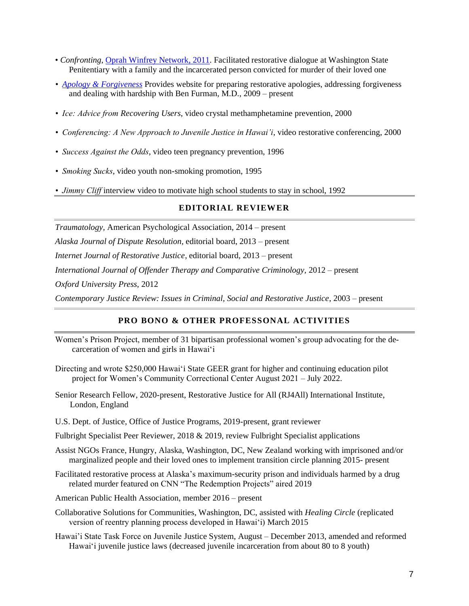- *Confronting*, [Oprah Winfrey Network, 2011.](http://www.oprah.com/own-confronting/Colleen-Meets-Her-Husbands-Killer) Facilitated restorative dialogue at Washington State Penitentiary with a family and the incarcerated person convicted for murder of their loved one
- *[Apology & Forgiveness](http://www.apologyletter.org/)* Provides website for preparing restorative apologies, addressing forgiveness and dealing with hardship with Ben Furman, M.D., 2009 – present
- *Ice: Advice from Recovering Users*, video crystal methamphetamine prevention, 2000
- *Conferencing: A New Approach to Juvenile Justice in Hawai'i*, video restorative conferencing, 2000
- *Success Against the Odds*, video teen pregnancy prevention, 1996
- *Smoking Sucks*, video youth non-smoking promotion, 1995
- *Jimmy Cliff* interview video to motivate high school students to stay in school, 1992

## **EDITORIAL REVIEWER**

*Traumatology,* American Psychological Association, 2014 – present

*Alaska Journal of Dispute Resolution,* editorial board, 2013 – present

*Internet Journal of Restorative Justice*, editorial board, 2013 – present

*International Journal of Offender Therapy and Comparative Criminology,* 2012 – present

*Oxford University Press,* 2012

*Contemporary Justice Review: Issues in Criminal, Social and Restorative Justice*, 2003 – present

## **PRO BONO & OTHER PROFESSONAL ACTIVITIES**

Women's Prison Project, member of 31 bipartisan professional women's group advocating for the de carceration of women and girls in Hawai'i

Directing and wrote \$250,000 Hawai'i State GEER grant for higher and continuing education pilot project for Women's Community Correctional Center August 2021 – July 2022.

Senior Research Fellow, 2020-present, Restorative Justice for All (RJ4All) International Institute, London, England

U.S. Dept. of Justice, Office of Justice Programs, 2019-present, grant reviewer

Fulbright Specialist Peer Reviewer, 2018 & 2019, review Fulbright Specialist applications

- Assist NGOs France, Hungry, Alaska, Washington, DC, New Zealand working with imprisoned and/or marginalized people and their loved ones to implement transition circle planning 2015- present
- Facilitated restorative process at Alaska's maximum-security prison and individuals harmed by a drug related murder featured on CNN "The Redemption Projects" aired 2019
- American Public Health Association, member 2016 present
- Collaborative Solutions for Communities, Washington, DC, assisted with *Healing Circle* (replicated version of reentry planning process developed in Hawai'i) March 2015

Hawai'i State Task Force on Juvenile Justice System, August – December 2013, amended and reformed Hawai'i juvenile justice laws (decreased juvenile incarceration from about 80 to 8 youth)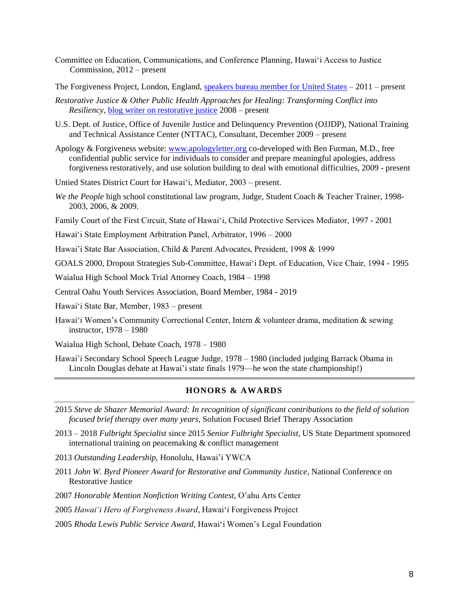- Committee on Education, Communications, and Conference Planning, Hawai'i Access to Justice Commission, 2012 – present
- The Forgiveness Project, London, England, [speakers bureau member for United States](https://www.theforgivenessproject.com/stories-library/lorenn-walker/) 2011 present
- *Restorative Justice & Other Public Health Approaches for Healing: Transforming Conflict into Resiliency*[, blog writer on restorative justice](http://www.lorennwalker.com/blog/) 2008 – present
- U.S. Dept. of Justice, Office of Juvenile Justice and Delinquency Prevention (OJJDP), National Training and Technical Assistance Center (NTTAC), Consultant, December 2009 – present
- Apology & Forgiveness website: [www.apologyletter.org](http://www.apologyletter.org/) co-developed with Ben Furman, M.D., free confidential public service for individuals to consider and prepare meaningful apologies, address forgiveness restoratively, and use solution building to deal with emotional difficulties, 2009 - present
- Untied States District Court for Hawai'i, Mediator, 2003 present.
- *We the People* high school constitutional law program, Judge, Student Coach & Teacher Trainer, 1998- 2003, 2006, & 2009.
- Family Court of the First Circuit, State of Hawai'i, Child Protective Services Mediator, 1997 2001
- Hawai'i State Employment Arbitration Panel, Arbitrator, 1996 2000
- Hawai'i State Bar Association, Child & Parent Advocates, President, 1998 & 1999
- GOALS 2000, Dropout Strategies Sub-Committee, Hawai'i Dept. of Education, Vice Chair, 1994 1995

Waialua High School Mock Trial Attorney Coach, 1984 – 1998

- Central Oahu Youth Services Association, Board Member, 1984 2019
- Hawai'i State Bar, Member, 1983 present
- Hawai'i Women's Community Correctional Center, Intern & volunteer drama, meditation & sewing instructor, 1978 – 1980
- Waialua High School, Debate Coach, 1978 1980
- Hawai'i Secondary School Speech League Judge, 1978 1980 (included judging Barrack Obama in Lincoln Douglas debate at Hawai'i state finals 1979—he won the state championship!)

#### **HONORS & AWARDS**

- 2015 *Steve de Shazer Memorial Award: In recognition of significant contributions to the field of solution focused brief therapy over many years,* Solution Focused Brief Therapy Association
- 2013 2018 *Fulbright Specialist* since 2015 *Senior Fulbright Specialist*, US State Department sponsored international training on peacemaking & conflict management
- 2013 *Outstanding Leadership,* Honolulu, Hawai'i YWCA
- 2011 *John W. Byrd Pioneer Award for Restorative and Community Justice*, National Conference on Restorative Justice
- 2007 *Honorable Mention Nonfiction Writing Contest,* O'ahu Arts Center
- 2005 *Hawai'i Hero of Forgiveness Award*, Hawai'i Forgiveness Project
- 2005 *Rhoda Lewis Public Service Award,* Hawai'i Women's Legal Foundation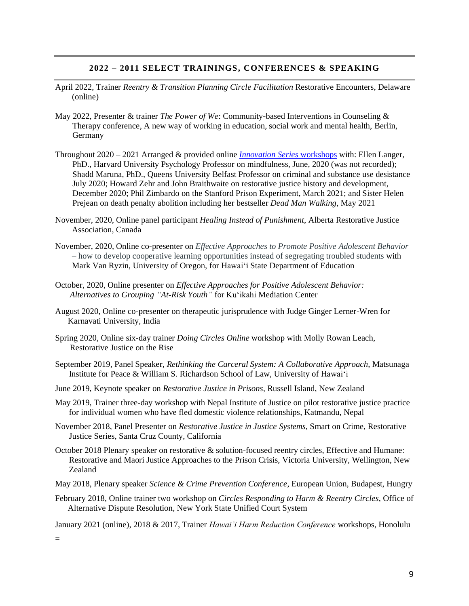# **2022 – 2011 SELECT TRAININGS, CONFERENCES & SPEAKING**

- April 2022, Trainer *Reentry & Transition Planning Circle Facilitation* Restorative Encounters, Delaware (online)
- May 2022, Presenter & trainer *The Power of We*: Community-based Interventions in Counseling & Therapy conference, A new way of working in education, social work and mental health, Berlin, Germany
- Throughout 2020 2021 Arranged & provided online *[Innovation Series](http://hawaiifriends.org/category/speakers/)* workshops with: Ellen Langer, PhD., Harvard University Psychology Professor on mindfulness, June, 2020 (was not recorded); Shadd Maruna, PhD., Queens University Belfast Professor on criminal and substance use desistance July 2020; Howard Zehr and John Braithwaite on restorative justice history and development, December 2020; Phil Zimbardo on the Stanford Prison Experiment, March 2021; and Sister Helen Prejean on death penalty abolition including her bestseller *Dead Man Walking*, May 2021
- November, 2020, Online panel participant *Healing Instead of Punishment*, Alberta Restorative Justice Association, Canada
- November, 2020, Online co-presenter on *Effective Approaches to Promote Positive Adolescent Behavior* – how to develop cooperative learning opportunities instead of segregating troubled students with Mark Van Ryzin, University of Oregon, for Hawai'i State Department of Education
- October, 2020, Online presenter on *Effective Approaches for Positive Adolescent Behavior: Alternatives to Grouping "At-Risk Youth"* for Ku'ikahi Mediation Center
- August 2020, Online co-presenter on therapeutic jurisprudence with Judge Ginger Lerner-Wren for Karnavati University, India
- Spring 2020, Online six-day trainer *Doing Circles Online* workshop with Molly Rowan Leach, Restorative Justice on the Rise
- September 2019, Panel Speaker, *Rethinking the Carceral System: A Collaborative Approach*, Matsunaga Institute for Peace & William S. Richardson School of Law, University of Hawai'i
- June 2019, Keynote speaker on *Restorative Justice in Prisons*, Russell Island, New Zealand
- May 2019, Trainer three-day workshop with Nepal Institute of Justice on pilot restorative justice practice for individual women who have fled domestic violence relationships, Katmandu, Nepal
- November 2018, Panel Presenter on *Restorative Justice in Justice Systems*, Smart on Crime, Restorative Justice Series, Santa Cruz County, California
- October 2018 Plenary speaker on restorative & solution-focused reentry circles, Effective and Humane: Restorative and Maori Justice Approaches to the Prison Crisis, Victoria University, Wellington, New Zealand
- May 2018, Plenary speaker *Science & Crime Prevention Conference*, European Union, Budapest, Hungry
- February 2018, Online trainer two workshop on *Circles Responding to Harm & Reentry Circles*, Office of Alternative Dispute Resolution, New York State Unified Court System

January 2021 (online), 2018 & 2017, Trainer *Hawai'i Harm Reduction Conference* workshops, Honolulu

=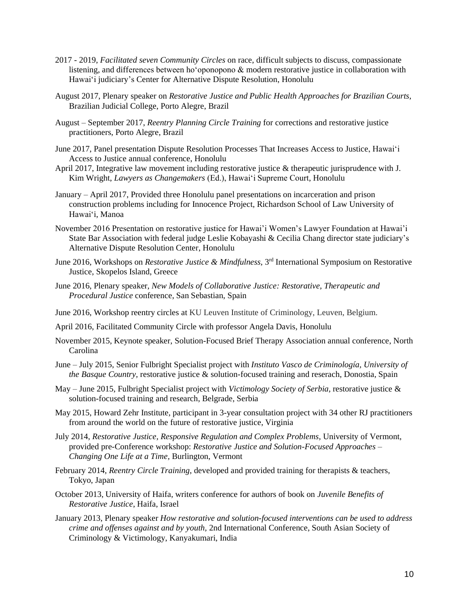- 2017 2019, *Facilitated seven Community Circles* on race, difficult subjects to discuss, compassionate listening, and differences between ho'oponopono & modern restorative justice in collaboration with Hawai'i judiciary's Center for Alternative Dispute Resolution, Honolulu
- August 2017, Plenary speaker on *Restorative Justice and Public Health Approaches for Brazilian Courts,* Brazilian Judicial College, Porto Alegre, Brazil
- August September 2017, *Reentry Planning Circle Training* for corrections and restorative justice practitioners, Porto Alegre, Brazil
- June 2017, Panel presentation Dispute Resolution Processes That Increases Access to Justice, Hawai'i Access to Justice annual conference, Honolulu
- April 2017, Integrative law movement including restorative justice & therapeutic jurisprudence with J. Kim Wright, *Lawyers as Changemakers* (Ed.), Hawai'i Supreme Court, Honolulu
- January April 2017, Provided three Honolulu panel presentations on incarceration and prison construction problems including for Innocence Project, Richardson School of Law University of Hawai'i, Manoa
- November 2016 Presentation on restorative justice for Hawai'i Women's Lawyer Foundation at Hawai'i State Bar Association with federal judge Leslie Kobayashi & Cecilia Chang director state judiciary's Alternative Dispute Resolution Center, Honolulu
- June 2016, Workshops on *Restorative Justice & Mindfulness*, 3rd International Symposium on Restorative Justice, Skopelos Island, Greece
- June 2016, Plenary speaker, *New Models of Collaborative Justice: Restorative, Therapeutic and Procedural Justice* conference, San Sebastian, Spain
- June 2016, Workshop reentry circles at KU Leuven Institute of Criminology, Leuven, Belgium.
- April 2016, Facilitated Community Circle with professor Angela Davis, Honolulu
- November 2015, Keynote speaker, Solution-Focused Brief Therapy Association annual conference, North Carolina
- June July 2015, Senior Fulbright Specialist project with *Instituto Vasco de Criminología, University of the Basque Country,* restorative justice & solution-focused training and reserach, Donostia, Spain
- May June 2015, Fulbright Specialist project with *Victimology Society of Serbia,* restorative justice & solution-focused training and research, Belgrade, Serbia
- May 2015, Howard Zehr Institute, participant in 3-year consultation project with 34 other RJ practitioners from around the world on the future of restorative justice, Virginia
- July 2014, *Restorative Justice, Responsive Regulation and Complex Problems,* University of Vermont, provided pre-Conference workshop: *Restorative Justice and Solution-Focused Approaches – Changing One Life at a Time,* Burlington, Vermont
- February 2014, *Reentry Circle Training*, developed and provided training for therapists & teachers, Tokyo, Japan
- October 2013, University of Haifa, writers conference for authors of book on *Juvenile Benefits of Restorative Justice*, Haifa, Israel
- January 2013, Plenary speaker *How restorative and solution-focused interventions can be used to address crime and offenses against and by youth,* 2nd International Conference, South Asian Society of Criminology & Victimology, Kanyakumari, India